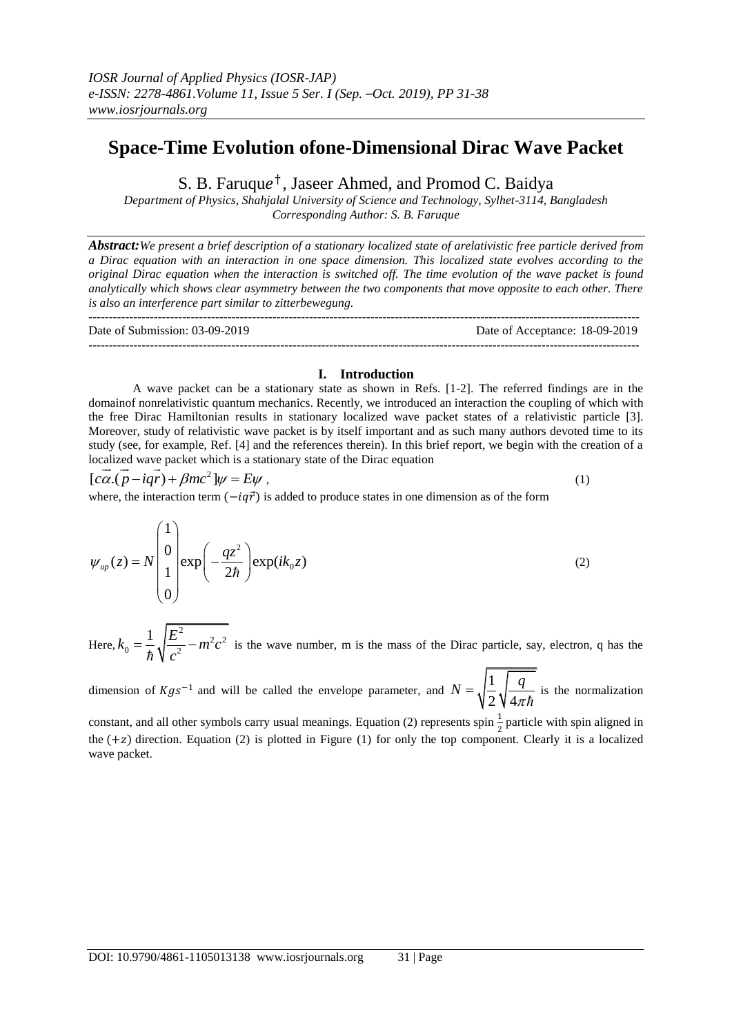# **Space-Time Evolution ofone-Dimensional Dirac Wave Packet**

S. B. Faruque<sup>†</sup>, Jaseer Ahmed, and Promod C. Baidya

*Department of Physics, Shahjalal University of Science and Technology, Sylhet-3114, Bangladesh Corresponding Author: S. B. Faruque*

*Abstract:We present a brief description of a stationary localized state of arelativistic free particle derived from a Dirac equation with an interaction in one space dimension. This localized state evolves according to the original Dirac equation when the interaction is switched off. The time evolution of the wave packet is found analytically which shows clear asymmetry between the two components that move opposite to each other. There is also an interference part similar to zitterbewegung.*

--------------------------------------------------------------------------------------------------------------------------------------- Date of Submission: 03-09-2019 Date of Acceptance: 18-09-2019

---------------------------------------------------------------------------------------------------------------------------------------

### **I. Introduction**

A wave packet can be a stationary state as shown in Refs. [1-2]. The referred findings are in the domainof nonrelativistic quantum mechanics. Recently, we introduced an interaction the coupling of which with the free Dirac Hamiltonian results in stationary localized wave packet states of a relativistic particle [3]. Moreover, study of relativistic wave packet is by itself important and as such many authors devoted time to its study (see, for example, Ref. [4] and the references therein). In this brief report, we begin with the creation of a study (see, for example, Ref. [4] and the effected determinant in this of localized wave packet which is a stationary state of the Dirac equation

2 localized wave packet which is a station<br> $[c\vec{\alpha}.(\vec{p} - i\vec{q}\vec{r}) + \beta mc^2]\psi = E\psi$ , ,  $(1)$ 

where, the interaction term  $(-i q \vec{r})$  is added to produce states in one dimension as of the form

 $\lambda$ 

$$
\psi_{up}(z) = N \begin{pmatrix} 1 \\ 0 \\ 1 \\ 0 \end{pmatrix} \exp\left(-\frac{qz^2}{2\hbar}\right) \exp(ik_0 z) \tag{2}
$$

Here, <sup>2</sup>  $\frac{2}{m^2 a^2}$  $0 - 3 \ln 2$  $k_0 = \frac{1}{4} \sqrt{\frac{E^2}{r^2} - m^2 c}$ *c*  $=\frac{1}{t}\sqrt{\frac{E}{\frac{2}{t}}-m}$  $\frac{1}{\hbar} \sqrt{\frac{2}{c^2}} - m^2 c^2$  is the wave number, m is the mass of the Dirac particle, say, electron, q has the

dimension of  $Kgs^{-1}$  and will be called the envelope parameter, and  $N = \sqrt{\frac{1}{n}}$ 2 4  $N = \sqrt{\frac{1}{2} \sqrt{\frac{q}{l}}}$ *ћ*  $=\sqrt{\frac{1}{n}}\sqrt{\frac{q}{n-1}}$  is the normalization

constant, and all other symbols carry usual meanings. Equation (2) represents spin  $\frac{1}{2}$  particle with spin aligned in the  $(+z)$  direction. Equation (2) is plotted in Figure (1) for only the top component. Clearly it is a localized wave packet.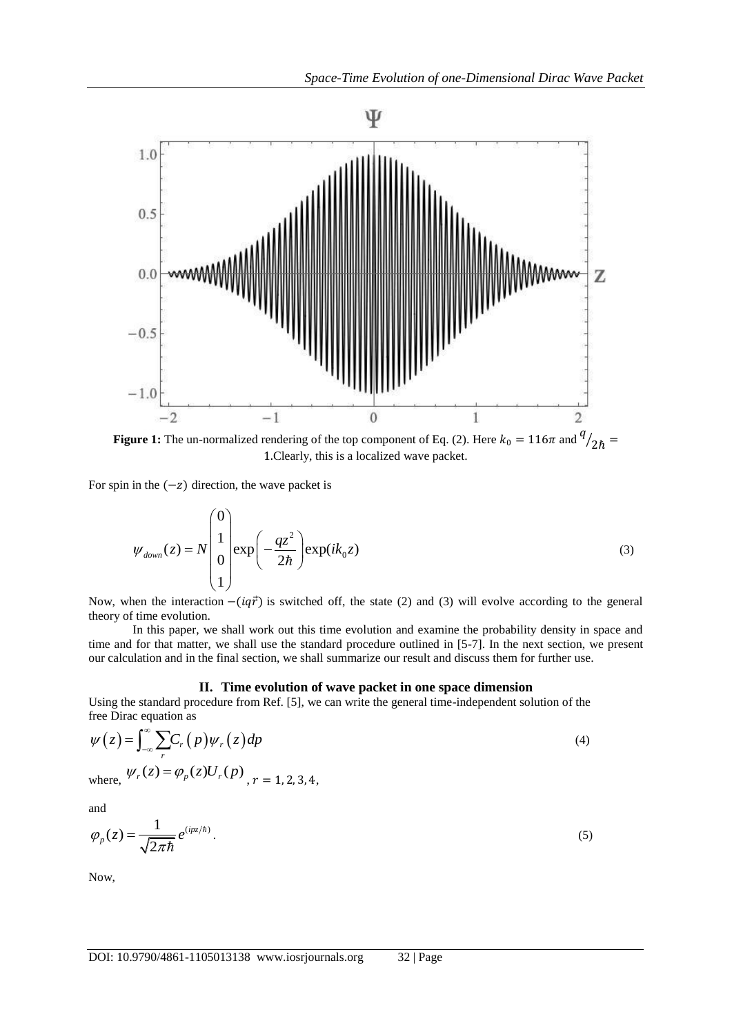

**Figure 1:** The un-normalized rendering of the top component of Eq. (2). Here  $k_0 = 116\pi$  and  $\frac{q}{2\hbar} =$ 1.Clearly, this is a localized wave packet.

For spin in the  $(-z)$  direction, the wave packet is

For spin in the 
$$
(-z)
$$
 direction, the wave packet is  
\n
$$
\psi_{down}(z) = N \begin{pmatrix} 0 \\ 1 \\ 0 \\ 1 \end{pmatrix} \exp\left(-\frac{qz^2}{2\hbar}\right) \exp(ik_0 z)
$$
\n(3)

Now, when the interaction  $-(iq\vec{r})$  is switched off, the state (2) and (3) will evolve according to the general theory of time evolution.

In this paper, we shall work out this time evolution and examine the probability density in space and time and for that matter, we shall use the standard procedure outlined in [5-7]. In the next section, we present our calculation and in the final section, we shall summarize our result and discuss them for further use.

#### **II. Time evolution of wave packet in one space dimension**

Using the standard procedure from Ref. [5], we can write the general time-independent solution of the free Dirac equation as

$$
\psi(z) = \int_{-\infty}^{\infty} \sum_{r} C_r(p) \psi_r(z) dp
$$
  
where,  $\psi_r(z) = \varphi_p(z) U_r(p)_{r, r = 1, 2, 3, 4}$ , (4)

where,

and

$$
\varphi_p(z) = \frac{1}{\sqrt{2\pi\hbar}} e^{(ipz/\hbar)}.
$$
\n(5)

Now,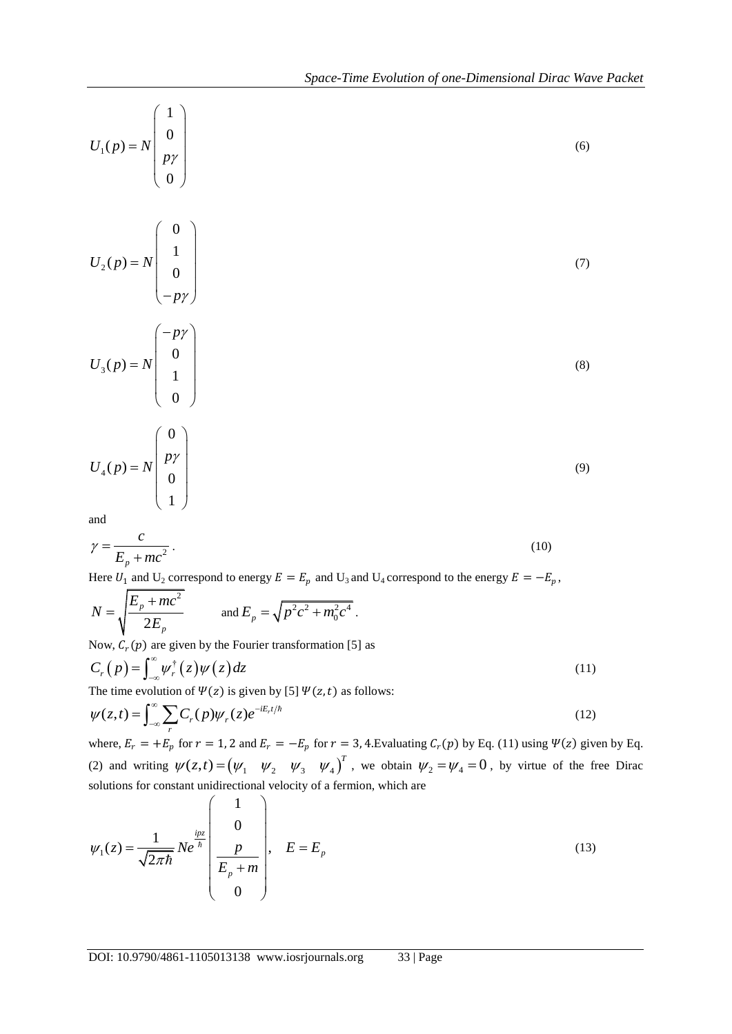$$
U_1(p) = N \begin{pmatrix} 1 \\ 0 \\ p\gamma \\ 0 \end{pmatrix}
$$
 (6)

$$
U_2(p) = N \begin{pmatrix} 0 \\ 1 \\ 0 \\ -p\gamma \end{pmatrix}
$$
 (7)

$$
U_3(p) = N \begin{pmatrix} -p\gamma \\ 0 \\ 1 \\ 0 \end{pmatrix}
$$
 (8)

$$
U_4(p) = N \begin{pmatrix} 0 \\ p\gamma \\ 0 \\ 1 \end{pmatrix}
$$
 (9)

and

$$
\gamma = \frac{c}{E_p + mc^2} \,. \tag{10}
$$

Here  $U_1$  and  $U_2$  correspond to energy  $E = E_p$  and  $U_3$  and  $U_4$  correspond to the energy  $E = -E_p$ ,

$$
N = \sqrt{\frac{E_p + mc^2}{2E_p}} \quad \text{and } E_p = \sqrt{p^2c^2 + m_0^2c^4}.
$$

Now,  $C_r(p)$  are given by the Fourier transformation [5] as

$$
C_r(p) = \int_{-\infty}^{\infty} \psi_r^{\dagger}(z) \psi(z) dz
$$
\nThe time evolution of  $\Psi(z)$  is given by [5]  $\Psi(z, t)$  as follows:

The time evolution of 
$$
\Psi(z)
$$
 is given by [5]  $\Psi(z, t)$  as follows:  
\n
$$
\psi(z,t) = \int_{-\infty}^{\infty} \sum_{r} C_r(p) \psi_r(z) e^{-iE_r t/\hbar}
$$
\n(12)

where,  $E_r = +E_p$  for  $r = 1$ , 2 and  $E_r = -E_p$  for  $r = 3$ , 4. Evaluating  $C_r(p)$  by Eq. (11) using  $\Psi(z)$  given by Eq. where,  $E_r = +E_p$  for  $T = 1$ , 2 and  $E_r = -E_p$  for  $T = 3$ , +. Evaluating  $E_r(p)$  by Eq. (11) using  $T(z)$  given by Eq. (2) and writing  $\psi(z,t) = (\psi_1 \quad \psi_2 \quad \psi_3 \quad \psi_4)^T$ , we obtain  $\psi_2 = \psi_4 = 0$ , by virtue of the free Dirac  $11<sup>1</sup>$ 

solutions for constant unidirectional velocity of a fermion, which are  
\n
$$
\psi_1(z) = \frac{1}{\sqrt{2\pi\hbar}} N e^{\frac{ipz}{\hbar}} \begin{pmatrix} 1 \\ 0 \\ \frac{p}{E_p + m} \\ 0 \end{pmatrix}, \quad E = E_p \tag{13}
$$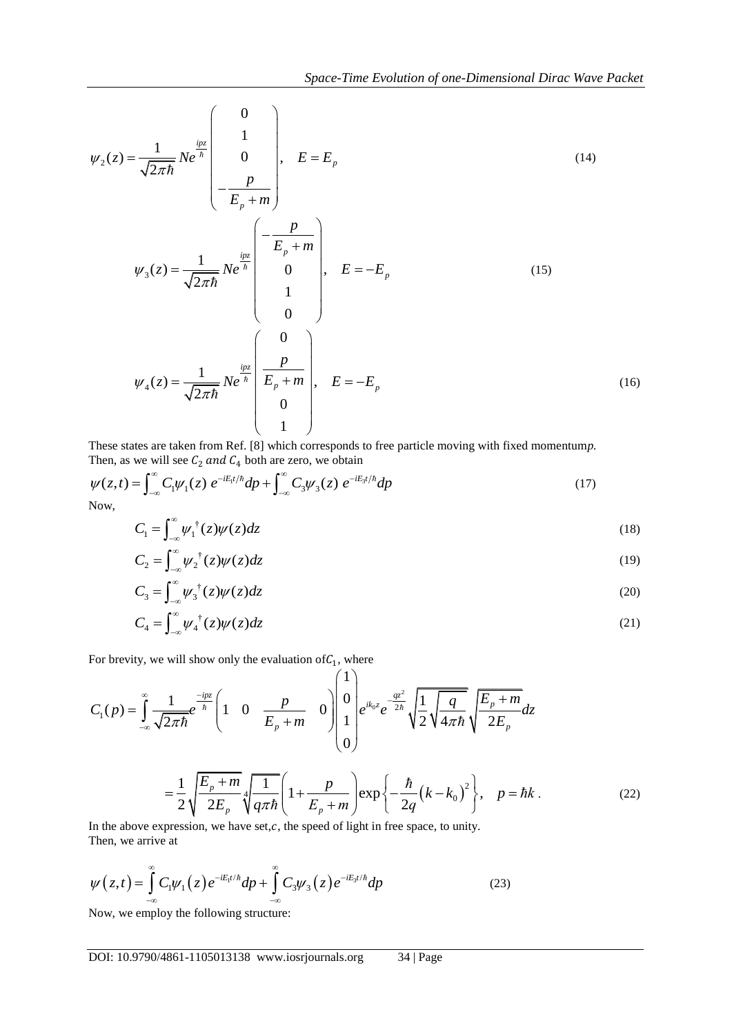$$
\psi_2(z) = \frac{1}{\sqrt{2\pi\hbar}} N e^{\frac{iz}{\hbar}} \begin{pmatrix} 0 \\ 1 \\ 0 \\ -\frac{p}{E_p + m} \end{pmatrix}, \quad E = E_p
$$
\n
$$
\psi_3(z) = \frac{1}{\sqrt{2\pi\hbar}} N e^{\frac{iz}{\hbar}} \begin{pmatrix} -\frac{p}{E_p + m} \\ 0 \\ 1 \\ 1 \\ 0 \end{pmatrix}, \quad E = -E_p
$$
\n
$$
\psi_4(z) = \frac{1}{\sqrt{2\pi\hbar}} N e^{\frac{iz}{\hbar}} \begin{pmatrix} 0 \\ \frac{p}{E_p + m} \\ \frac{p}{E_p + m} \\ 0 \\ 1 \end{pmatrix}, \quad E = -E_p
$$
\n(16)

These states are taken from Ref. [8] which corresponds to free particle moving with fixed momentum*p.* Then, as we will see  $C_2$  and  $C_4$  both are zero, we obtain

These states are taken from Ref. [8] which corresponds to free particle moving with fixed momentum *p*.  
Then, as we will see 
$$
C_2
$$
 and  $C_4$  both are zero, we obtain  

$$
\psi(z,t) = \int_{-\infty}^{\infty} C_1 \psi_1(z) e^{-iE_1t/\hbar} dp + \int_{-\infty}^{\infty} C_3 \psi_3(z) e^{-iE_3t/\hbar} dp
$$
(17)  
Now,

$$
C_1 = \int_{-\infty}^{\infty} \psi_1^{\dagger}(z) \psi(z) dz \tag{18}
$$

$$
C_2 = \int_{-\infty}^{\infty} \psi_2^{\dagger}(z) \psi(z) dz \tag{19}
$$

$$
C_3 = \int_{-\infty}^{\infty} \psi_3^{\dagger}(z) \psi(z) dz \tag{20}
$$

$$
C_4 = \int_{-\infty}^{\infty} \psi_4^{\dagger}(z) \psi(z) dz \tag{21}
$$

 $(1)$ 

$$
C_4 = \int_{-\infty}^{\infty} \psi_4'(z) \psi(z) dz
$$
\nFor brevity, we will show only the evaluation of  $C_1$ , where

\n
$$
C_1(p) = \int_{-\infty}^{\infty} \frac{1}{\sqrt{2\pi\hbar}} e^{-\frac{ipz}{\hbar}} \left( 1 - 0 - \frac{p}{E_p + m} - 0 \right) \begin{pmatrix} 1 \\ 0 \\ 1 \\ 0 \end{pmatrix} e^{ik_0 z} e^{-\frac{qz^2}{2\hbar}} \sqrt{\frac{1}{2} \sqrt{\frac{q}{4\pi\hbar}} \sqrt{\frac{E_p + m}{2E_p}} dz
$$
\n
$$
= \frac{1}{2} \sqrt{\frac{E_p + m}{2E_p}} 4 \sqrt{\frac{1}{q\pi\hbar}} \left( 1 + \frac{p}{E_p + m} \right) \exp\left\{-\frac{\hbar}{2q} (k - k_0)^2 \right\}, \quad p = \hbar k.
$$
\nIn the above expression, we have set  $c$ , the speed of light in free space, to unity.

\n(22)

In the above expression, we have  $set, c$ , the speed of light in free space, to unity. Then, we arrive at

Then, we arrive at  
\n
$$
\psi(z,t) = \int_{-\infty}^{\infty} C_1 \psi_1(z) e^{-iE_1 t/\hbar} dp + \int_{-\infty}^{\infty} C_3 \psi_3(z) e^{-iE_3 t/\hbar} dp
$$
\n(23)

Now, we employ the following structure: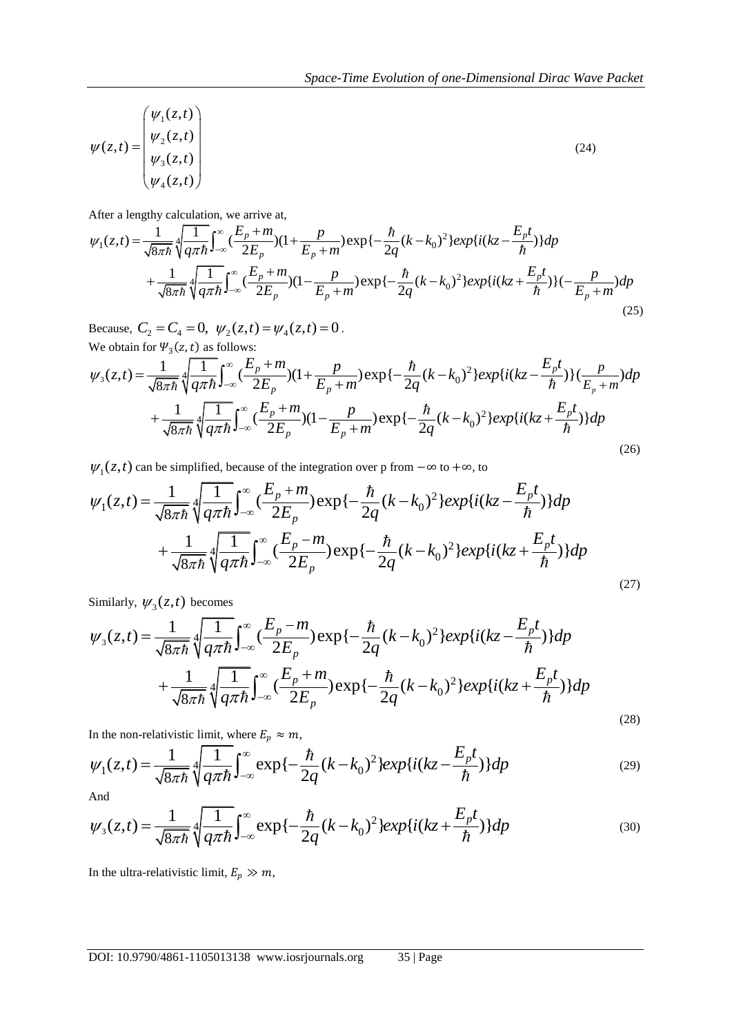$$
\psi(z,t) = \begin{pmatrix} \psi_1(z,t) \\ \psi_2(z,t) \\ \psi_3(z,t) \\ \psi_4(z,t) \end{pmatrix}
$$
\nAfter a lengthy calculation, we arrive at,

\n
$$
\psi_1(z,t) = \frac{1}{\sqrt{8\pi\hbar}} \oint_{q\pi\hbar}^{\infty} \int_{-\infty}^{E_p + m} \frac{E_p + m}{(2E_p)(1 + \frac{p}{E_p + m})} \exp\{-\frac{\hbar}{2q}(k - k_0)^2\} \exp\{i(kz - \frac{E_p t}{\hbar})\} dp
$$
\n(24)

After a lengthy calculation, we arrive at,

$$
\begin{aligned}\n\left\{\n\begin{aligned}\n\psi_3(z,t) \\
\psi_4(z,t)\n\end{aligned}\right\} \\
\text{After a lengthy calculation, we arrive at,} \\
\psi_1(z,t) &= \frac{1}{\sqrt{8\pi\hbar}} \sqrt[4]{\frac{1}{q\pi\hbar}} \int_{-\infty}^{\infty} \left(\frac{E_p + m}{2E_p}\right) (1 + \frac{p}{E_p + m}) \exp\left\{-\frac{\hbar}{2q}(k - k_0)^2\right\} \exp\{i(kz - \frac{E_p t}{\hbar})\} dp \\
&+ \frac{1}{\sqrt{8\pi\hbar}} \sqrt[4]{\frac{1}{q\pi\hbar}} \int_{-\infty}^{\infty} \left(\frac{E_p + m}{2E_p}\right) (1 - \frac{p}{E_p + m}) \exp\left\{-\frac{\hbar}{2q}(k - k_0)^2\right\} \exp\{i(kz + \frac{E_p t}{\hbar})\} (-\frac{p}{E_p + m}) dp\n\end{aligned}\n\end{aligned}
$$

We obtain for  $\Psi_3(z, t)$  as follows:

$$
+\frac{1}{\sqrt{8\pi h}}\sqrt[4]{q\pi h}J_{-\infty}(-\frac{1}{2E_p})(1-\frac{1}{E_p+m})\exp{\frac{-2q(k-k_0)}{k}})\exp{\frac{i(kz+\frac{1}{h})}{k}}(-\frac{1}{E_p+m})dp
$$
\nBecause,  $C_2 = C_4 = 0$ ,  $\psi_2(z,t) = \psi_4(z,t) = 0$ .  
\nWe obtain for  $\Psi_3(z,t)$  as follows:  
\n
$$
\psi_3(z,t) = \frac{1}{\sqrt{8\pi h}}\sqrt[4]{\frac{1}{q\pi h}}\int_{-\infty}^{\infty} \frac{(E_p+m)}{2E_p}(1+\frac{p}{E_p+m})\exp{\frac{-\frac{h}{2q}(k-k_0)^2}{2q}(1-\frac{p}{h})}\exp{\frac{i(kz-\frac{E_p t}{h})}{k}}\frac{1}{E_p+m})dp
$$
\n
$$
+\frac{1}{\sqrt{8\pi h}}\sqrt[4]{\frac{1}{q\pi h}}\int_{-\infty}^{\infty} \frac{(E_p+m)}{2E_p}(1-\frac{p}{E_p+m})\exp{\frac{-\frac{h}{2q}(k-k_0)^2}{2q}(1-\frac{p}{k}})\exp{\frac{i(kz+\frac{E_p t}{h})}{k}}dp
$$
\n(26)

$$
\psi(z,t) = \begin{vmatrix}\n\psi_{(z,t)} \\
\psi_{2}(z,t) \\
\psi_{3}(z,t)\n\end{vmatrix}
$$
\n(24)  
\nAfter a length of calculation, we arrive at,  
\n
$$
\psi_{1}(z,t) = \frac{1}{\sqrt{8\pi\hbar}} \sqrt{\frac{1}{q\pi\hbar}} \int_{-\infty}^{\infty} \frac{(E_{p}+m)}{(2E_{p}+m)} (1 + \frac{p}{E_{p}+m}) \exp\{-\frac{h}{2q}(k-k_{0})^{2}\} \exp\{i(kz-\frac{E_{p}t}{\hbar})\} dp
$$
\n
$$
+ \frac{1}{\sqrt{8\pi\hbar}} \sqrt{\frac{1}{q\pi\hbar}} \int_{-\infty}^{\infty} \frac{(E_{p}+m)}{(2E_{p}+m)} (1 - \frac{p}{E_{p}+m}) \exp\{-\frac{h}{2q}(k-k_{0})^{2}\} \exp\{i(kz-\frac{E_{p}t}{\hbar})\} (-\frac{p}{E_{p}+m}) dp
$$
\nBecause,  $C_{2} = C_{4} = 0$ ,  $\psi_{2}(z,t) = \psi_{4}(z,t) = 0$ .  
\nWe obtain for  $\Psi_{3}(z,t)$  as follows:  
\n
$$
\psi_{3}(z,t) = 6 \text{ follows:}
$$
  
\n
$$
\psi_{1}(z,t) = \frac{1}{\sqrt{8\pi\hbar}} \sqrt{\frac{1}{q\pi\hbar}} \int_{-\infty}^{\infty} \frac{(E_{p}+m)}{2E_{p}} (1 + \frac{p}{E_{p}+m}) \exp\{-\frac{h}{2q}(k-k_{0})^{2}\} \exp\{i(kz-\frac{E_{p}t}{\hbar})\} \frac{(26)}{(E_{p}+m)} dp
$$
\n
$$
+ \frac{1}{\sqrt{8\pi\hbar}} \sqrt{\frac{1}{q\pi\hbar}} \int_{-\infty}^{\infty} \frac{(E_{p}+m)}{(2E_{p})} (1 - \frac{p}{E_{p}+m}) \exp\{-\frac{h}{2q}(k-k_{0})^{2}\} \exp\{i(kz+\frac{E_{p}t}{\hbar})\} dp
$$
\n
$$
\psi_{1}(z,t) = \frac{1}{\sqrt{8\pi\hbar}} \sqrt{\frac{1}{q\pi\
$$

Similarly,  $\psi_3(z,t)$  becomes

$$
+\frac{1}{\sqrt{8\pi\hbar}}\sqrt[4]{q\pi\hbar} \int_{-\infty}^{\infty} \frac{(-2E_p)}{2E_p} \exp\{-\frac{1}{2q}(k-k_0) \exp\{i(kz+\frac{L}{\hbar})\}dp
$$
\nSimilarly,  
\n
$$
\psi_3(z,t) = \frac{1}{\sqrt{8\pi\hbar}}\sqrt[4]{\frac{1}{q\pi\hbar}} \int_{-\infty}^{\infty} \frac{E_p - m}{2E_p} \exp\{-\frac{\hbar}{2q}(k-k_0)^2\} \exp\{i(kz-\frac{E_p t}{\hbar})\}dp
$$
\n
$$
+\frac{1}{\sqrt{8\pi\hbar}}\sqrt[4]{\frac{1}{q\pi\hbar}} \int_{-\infty}^{\infty} \frac{(E_p + m)}{2E_p} \exp\{-\frac{\hbar}{2q}(k-k_0)^2\} \exp\{i(kz+\frac{E_p t}{\hbar})\}dp
$$
\nIn the non-relativistic limit, where  $E_p \approx m$ ,  
\n
$$
\psi_1(z,t) = \frac{1}{\sqrt{8\pi\hbar}}\sqrt[4]{\frac{1}{\pi\hbar}} \int_{-\infty}^{\infty} \exp\{-\frac{\hbar}{2\pi}(k-k_0)^2\} \exp\{i(kz-\frac{E_p t}{\hbar})\}dp
$$
\n(28)

$$
\sqrt{8\pi\hbar} \sqrt{q\pi\hbar} J_{-\infty}^{\infty}{}^{2} E_{p}^{\text{max}} \frac{2q}{2q} \qquad \text{for } \hbar \text{ with } \hbar \text{ with } \hbar \text{ with } \hbar \text{ with } \hbar \text{ with } \hbar \text{ with } \hbar \text{ with } \hbar \text{ with } \hbar \text{ with } \hbar \text{ with } \hbar \text{ with } \hbar \text{ with } \hbar \text{ with } \hbar \text{ with } \hbar \text{ with } \hbar \text{ with } \hbar \text{ with } \hbar \text{ with } \hbar \text{ with } \hbar \text{ with } \hbar \text{ with } \hbar \text{ with } \hbar \text{ with } \hbar \text{ with } \hbar \text{ with } \hbar \text{ with } \hbar \text{ with } \hbar \text{ with } \hbar \text{ with } \hbar \text{ with } \hbar \text{ with } \hbar \text{ with } \hbar \text{ with } \hbar \text{ with } \hbar \text{ with } \hbar \text{ with } \hbar \text{ with } \hbar \text{ with } \hbar \text{ with } \hbar \text{ with } \hbar \text{ with } \hbar \text{ with } \hbar \text{ with } \hbar \text{ with } \hbar \text{ with } \hbar \text{ with } \hbar \text{ with } \hbar \text{ with } \hbar \text{ with } \hbar \text{ with } \hbar \text{ with } \hbar \text{ with } \hbar \text{ with } \hbar \text{ with } \hbar \text{ with } \hbar \text{ with } \hbar \text{ with } \hbar \text{ with } \hbar \text{ with } \hbar \text{ with } \hbar \text{ with } \hbar \text{ with } \hbar \text{ with } \hbar \text{ with } \hbar \text{ with } \hbar \text{ with } \hbar \text{ with } \hbar \text{ with } \hbar \text{ with } \hbar \text{ with } \hbar \text{ with } \hbar \text{ with } \hbar \text{ with } \hbar \text{ with } \hbar \text{ with } \hbar \text{ with } \hbar \text{ with } \hbar \text{ with } \hbar \text{ with } \hbar \text{ with } \hbar \text{ with } \hbar \text{ with } \hbar \text{ with } \hbar \text{ with } \hbar \text{ with } \hbar \text{ with } \hbar \text{ with } \h
$$

And

$$
\psi_1(z,t) = \frac{1}{\sqrt{8\pi\hbar}} \sqrt[4]{\frac{1}{q\pi\hbar}} \int_{-\infty}^{\infty} \exp\{-\frac{h}{2q}(k-k_0)^2\} exp\{i(kz-\frac{E_p t}{\hbar})\} dp
$$
\nAnd\n
$$
\psi_3(z,t) = \frac{1}{\sqrt{8\pi\hbar}} \sqrt[4]{\frac{1}{q\pi\hbar}} \int_{-\infty}^{\infty} \exp\{-\frac{h}{2q}(k-k_0)^2\} exp\{i(kz+\frac{E_p t}{\hbar})\} dp
$$
\n(30)

In the ultra-relativistic limit,  $E_p \gg m$ ,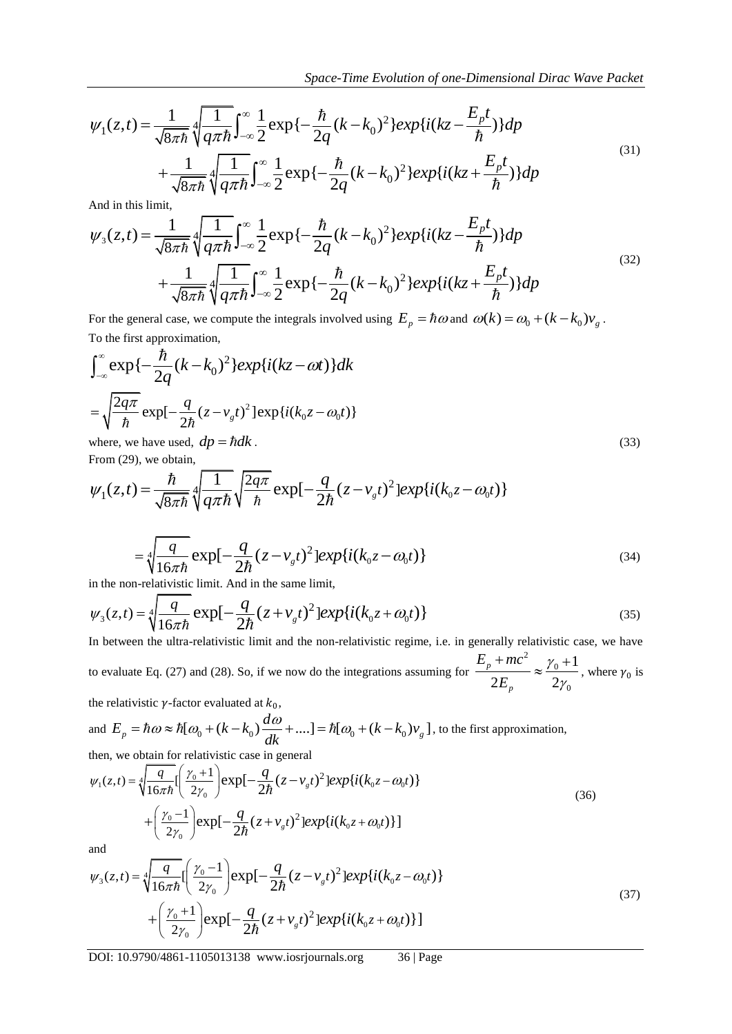$$
Space-Time Evolution of one-Dimensional Dirac Wave Packet
$$
  
\n
$$
\psi_1(z,t) = \frac{1}{\sqrt{8\pi\hbar}} \sqrt[4]{\frac{1}{q\pi\hbar}} \int_{-\infty}^{\infty} \frac{1}{2} \exp{\{-\frac{\hbar}{2q}(k-k_0)^2\}exp\{i(kz-\frac{E_pt}{\hbar})\}} dp
$$
  
\n
$$
+ \frac{1}{\sqrt{8\pi\hbar}} \sqrt[4]{\frac{1}{q\pi\hbar}} \int_{-\infty}^{\infty} \frac{1}{2} \exp{\{-\frac{\hbar}{2q}(k-k_0)^2\}exp\{i(kz+\frac{E_pt}{\hbar})\}} dp
$$
  
\nAnd in this limit,  
\n
$$
\psi_3(z,t) = \frac{1}{\sqrt{8\pi\hbar}} \sqrt[4]{\frac{1}{q\pi\hbar}} \int_{-\infty}^{\infty} \frac{1}{2} \exp{\{-\frac{\hbar}{2q}(k-k_0)^2\}exp\{i(kz-\frac{E_pt}{\hbar})\}} dp
$$

And in this limit,

$$
+\frac{1}{\sqrt{8\pi\hbar}}\sqrt[4]{\frac{1}{q\pi\hbar}}\int_{-\infty}^{\infty}\frac{1}{2}\exp{\{-\frac{\hbar}{2q}(k-k_0)^2\}}exp{i(kz+\frac{E_pt}{\hbar})\}}dp
$$
  
\nAnd in this limit,  
\n
$$
\psi_3(z,t) = \frac{1}{\sqrt{8\pi\hbar}}\sqrt[4]{\frac{1}{q\pi\hbar}}\int_{-\infty}^{\infty}\frac{1}{2}\exp{\{-\frac{\hbar}{2q}(k-k_0)^2\}}exp{i(kz-\frac{E_pt}{\hbar})\}}dp
$$
\n
$$
+\frac{1}{\sqrt{8\pi\hbar}}\sqrt[4]{\frac{1}{q\pi\hbar}}\int_{-\infty}^{\infty}\frac{1}{2}\exp{\{-\frac{\hbar}{2q}(k-k_0)^2\}}exp{i(kz+\frac{E_pt}{\hbar})\}}dp
$$
\nFor the general case, we compute the integrals involved using  $E = \hbar \omega$  and  $\omega(k) = \omega + (k-k_0)^2$ .

For the general case, we compute the integrals involved using  $E_p = \hbar \omega$  and  $\omega(k) = \omega_0 + (k - k_0)v_g$ .

$$
\psi_{1}(z,t) = \frac{1}{\sqrt{8\pi h}} \sqrt{\frac{1}{q\pi h}} \int_{-\infty}^{\infty} \frac{1}{2} \exp\{-\frac{n}{2q}(k-k_{0})^{2}\} \exp\{i(kz-\frac{L_{p}t}{h})\} dp
$$
\n
$$
+ \frac{1}{\sqrt{8\pi h}} \sqrt{\frac{1}{q\pi h}} \int_{-\infty}^{\infty} \frac{1}{2} \exp\{-\frac{n}{2q}(k-k_{0})^{2}\} \exp\{i(kz+\frac{E_{p}t}{h})\} dp
$$
\nAnd in this limit,  
\n
$$
\psi_{3}(z,t) = \frac{1}{\sqrt{8\pi h}} \sqrt{\frac{1}{q\pi h}} \int_{-\infty}^{\infty} \frac{1}{2} \exp\{-\frac{h}{2q}(k-k_{0})^{2}\} \exp\{i(kz-\frac{E_{p}t}{h})\} dp
$$
\n
$$
+ \frac{1}{\sqrt{8\pi h}} \sqrt{\frac{1}{q\pi h}} \int_{-\infty}^{\infty} \frac{1}{2} \exp\{-\frac{h}{2q}(k-k_{0})^{2}\} \exp\{i(kz+\frac{E_{p}t}{h})\} dp
$$
\nFor the general case, we compute the integrals involved using  $E_{p} = \hbar \omega$  and  $\omega(k) = \omega_{0} + (k-k_{0})\gamma_{z}$ .  
\nTo the first approach:  $\omega_{0}$ , we compute the integrals involved using  $E_{p} = \hbar \omega$  and  $\omega(k) = \omega_{0} + (k-k_{0})\gamma_{z}$ .  
\n
$$
\int_{-\infty}^{\infty} \exp\{-\frac{f}{2q}(k-k_{0})^{2}\} \exp\{i(kz-\omega t)\} dk
$$
\n
$$
= \sqrt{\frac{2q\pi}{h}} \exp\{-\frac{q}{2h}(z-v_{z}t)^{2}\} \exp\{i(k_{0}z-\omega_{0}t)\}
$$
\nwhere, we have used,  $dp = \hbar dk$ .  
\nFrom (29), we obtain,  
\n
$$
\psi_{1}(z,t) = \frac{h}{\sqrt{8\pi h}} \sqrt{\frac{1}{q\pi h}} \sqrt{\frac{2q\pi}{h}} \exp\{-\frac{q}{2h}(z-v_{x}t)^{2}\} \exp\{i(k_{
$$

From (29), we obtain,

where, we have used, 
$$
dp = \hbar dk
$$
.  
\nFrom (29), we obtain,  
\n
$$
\psi_1(z,t) = \frac{\hbar}{\sqrt{8\pi\hbar}} \sqrt[4]{\frac{1}{q\pi\hbar}} \sqrt{\frac{2q\pi}{\hbar}} \exp[-\frac{q}{2\hbar}(z - v_g t)^2] exp\{i(k_0 z - \omega_0 t)\}
$$
\n
$$
\boxed{\text{cos}\left(\frac{2q\pi}{\hbar} \right) \sqrt{\frac{2q\pi}{\hbar}}} \exp[-\frac{q}{2\hbar}(z - v_g t)^2] exp\{i(k_0 z - \omega_0 t)\}
$$
\n(33)

$$
= \sqrt[4]{\frac{q}{16\pi\hbar}} \exp[-\frac{q}{2\hbar}(z - v_{\rm g}t)^2] exp\{i(k_0 z - \omega_0 t)\}\
$$
\n(34)

$$
\sqrt{16\pi\hbar} \qquad 2\hbar \qquad s \qquad 111100 \qquad s \qquad s \qquad s \qquad 111100
$$
  
in the non-relativistic limit. And in the same limit,  

$$
\psi_3(z,t) = \sqrt[4]{\frac{q}{16\pi\hbar}} \exp[-\frac{q}{2\hbar}(z + v_s t)^2] exp\{i(k_0 z + \omega_0 t)\}\qquad (35)
$$

In between the ultra-relativistic limit and the non-relativistic regime, i.e. in generally relativistic case, we have to evaluate Eq. (27) and (28). So, if we now do the integrations assuming for 2  $\mathbf{0}$  $\mathbf 0$ 1  $\overline{2E_{n}}$   $\sim$   $\overline{2}$ *p p*  $E_p + mc$ *E* γ .γ  $\frac{1+mc^2}{2} \approx \frac{\gamma_0+1}{2}$ , where  $\gamma_0$  is

the relativistic 
$$
\gamma
$$
-factor evaluated at  $k_0$ ,  
and  $E_p = \hbar \omega \approx \hbar [\omega_0 + (k - k_0) \frac{d\omega}{dk} + ....] = \hbar [\omega_0 + (k - k_0) v_g]$ , to the first approximation,  
then, we obtain for relativistic case in general  

$$
\psi_1(z,t) = \sqrt[4]{\frac{q}{k}} \left[ \frac{\gamma_0 + 1}{k} \right] \exp[-\frac{q}{k} (z - v_s t)^2] \exp\{i(k_0 z - \omega_0 t)\}
$$

$$
\psi_1(z,t) = \sqrt[4]{\frac{q}{16\pi\hbar}} \Big[ \frac{\gamma_0 + 1}{2\gamma_0} \Big] \exp\left[-\frac{q}{2\hbar} (z - v_s t)^2 \Big] exp\{i(k_0 z - \omega_0 t)\} + \left(\frac{\gamma_0 - 1}{2\gamma_0} \right) exp\left[-\frac{q}{2\hbar} (z + v_s t)^2 \Big] exp\{i(k_0 z - \omega_0 t)\} + \left(\frac{\gamma_0 - 1}{2\gamma_0} \right) exp\left[-\frac{q}{2\hbar} (z + v_s t)^2 \Big] exp\{i(k_0 z + \omega_0 t)\} \Big]
$$
\nand\n
$$
\psi_2(z,t) = \sqrt[4]{\frac{q}{2\gamma_0}} \Big[ \frac{\gamma_0 - 1}{2\pi} \Big] exp\left[-\frac{q}{2\pi} (z - v_s t)^2 \Big] exp\{i(k_0 z - \omega_0 t)\} \Big]
$$
\nand

and

$$
+ \left(\frac{1}{2\gamma_0}\right)^{1/2} \exp\left[-\frac{1}{2\hbar}(z + \nu_s t) \right] \exp\left\{i(k_0 z + \omega_0 t)\right\}
$$
  
and  

$$
\psi_3(z,t) = 4 \frac{q}{\sqrt{16\pi\hbar}} \left(\frac{\gamma_0 - 1}{2\gamma_0}\right) \exp\left[-\frac{q}{2\hbar}(z - \nu_s t)^2\right] \exp\left\{i(k_0 z - \omega_0 t)\right\}
$$
  

$$
+ \left(\frac{\gamma_0 + 1}{2\gamma_0}\right) \exp\left[-\frac{q}{2\hbar}(z + \nu_s t)^2\right] \exp\left\{i(k_0 z + \omega_0 t)\right\}
$$
 (37)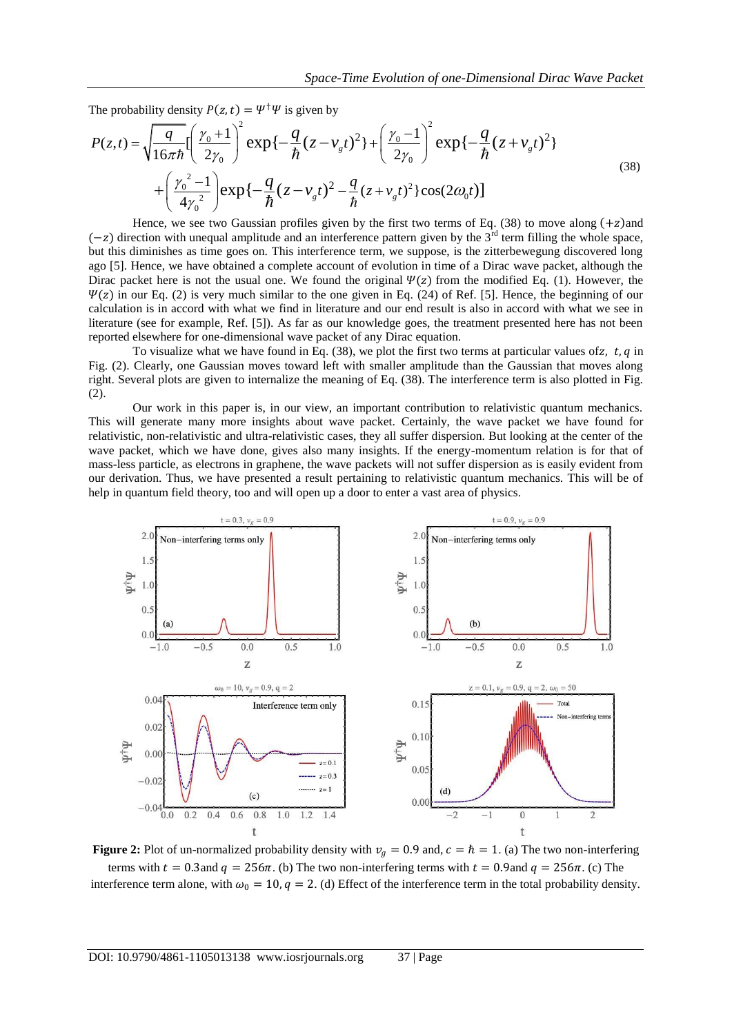The probability density  $P(z, t) = \Psi^{\dagger} \Psi$  is given by

$$
Space-Time Evolution of one-Dimensional Dirac Wave Packet
$$
  
The probability density  $P(z, t) = \Psi^{\dagger} \Psi$  is given by  

$$
P(z, t) = \sqrt{\frac{q}{16\pi\hbar}} \Biggl[ \left(\frac{\gamma_0 + 1}{2\gamma_0}\right)^2 \exp\left\{-\frac{q}{\hbar}(z - \nu_g t)^2\right\} + \left(\frac{\gamma_0 - 1}{2\gamma_0}\right)^2 \exp\left\{-\frac{q}{\hbar}(z + \nu_g t)^2\right\}
$$

$$
+ \left(\frac{\gamma_0^2 - 1}{4\gamma_0^2}\right) \exp\left\{-\frac{q}{\hbar}(z - \nu_g t)^2 - \frac{q}{\hbar}(z + \nu_g t)^2\right\} \cos(2\omega_0 t) \Biggr]
$$
  
Hence, we see two Gaussian profiles given by the first two terms of Eq. (38) to move along (+z) and

 $(-z)$  direction with unequal amplitude and an interference pattern given by the 3<sup>rd</sup> term filling the whole space, but this diminishes as time goes on. This interference term, we suppose, is the zitterbewegung discovered long ago [5]. Hence, we have obtained a complete account of evolution in time of a Dirac wave packet, although the Dirac packet here is not the usual one. We found the original  $\Psi(z)$  from the modified Eq. (1). However, the  $\Psi(z)$  in our Eq. (2) is very much similar to the one given in Eq. (24) of Ref. [5]. Hence, the beginning of our calculation is in accord with what we find in literature and our end result is also in accord with what we see in literature (see for example, Ref. [5]). As far as our knowledge goes, the treatment presented here has not been reported elsewhere for one-dimensional wave packet of any Dirac equation.

To visualize what we have found in Eq. (38), we plot the first two terms at particular values of z, t, q in Fig. (2). Clearly, one Gaussian moves toward left with smaller amplitude than the Gaussian that moves along right. Several plots are given to internalize the meaning of Eq. (38). The interference term is also plotted in Fig. (2).

Our work in this paper is, in our view, an important contribution to relativistic quantum mechanics. This will generate many more insights about wave packet. Certainly, the wave packet we have found for relativistic, non-relativistic and ultra-relativistic cases, they all suffer dispersion. But looking at the center of the wave packet, which we have done, gives also many insights. If the energy-momentum relation is for that of mass-less particle, as electrons in graphene, the wave packets will not suffer dispersion as is easily evident from our derivation. Thus, we have presented a result pertaining to relativistic quantum mechanics. This will be of help in quantum field theory, too and will open up a door to enter a vast area of physics.



**Figure 2:** Plot of un-normalized probability density with  $v_a = 0.9$  and,  $c = \hbar = 1$ . (a) The two non-interfering terms with  $t = 0.3$  and  $q = 256\pi$ . (b) The two non-interfering terms with  $t = 0.9$  and  $q = 256\pi$ . (c) The interference term alone, with  $\omega_0 = 10$ ,  $q = 2$ . (d) Effect of the interference term in the total probability density.